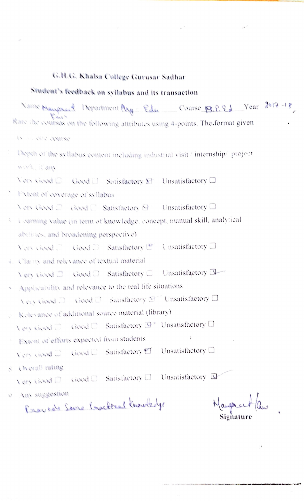## G.H.G. Khalsa College Gurusar Sadhar

## Student's feedback on syllabus and its transaction Vans Mauprent Department Ay Edu Course B.P. Ed Year 2017-18 Rate the courses on the following attributes using 4-points. The format given TRIMPLE STEVENS Depen of the syllabus content including industrial visit / internship/ project mork. it any Very Gigst  $\Box$  Good  $\Box$  Satisfactory  $\Box$  Unsatisfactory  $\Box$ Fytent of coverage of syllabus Very Geed  $\Box$  Good  $\Box$  Satisfactory  $\boxdot$  Unsatisfactory  $\Box$ i saraing value (in term of knowledge, concept, manual skill, analytical abilities, and broadening perspective). Very Geed. Good C Satisfactory 27 Unsatisfactory O 4. Classiv and relevance of textual material Very Gived  $\Box$  Good  $\Box$  Satisfactory  $\Box$  Unsatisfactory  $\Box$ Applicability and relevance to the real life situations Very Good □ Good □ Satisfactory Y Unsatisfactory □ A Kelevance of additional source material (library) Very Gyyel  $\square$  Good  $\square$  Satisfactory  $\square$ <sup>\*</sup> Unsatisfactory  $\square$ " Extent of efforts expected from students View closed  $\square$  Good  $\square$  Satisfactory  $\square$ Unsatisfactory  $\Box$

S Overall rating

Very Good  $\square$  Good  $\square$  Satisfactory  $\square$ Unsatisfactory L

o Am suggestion

Erecrete Serre Exactreal Knowledge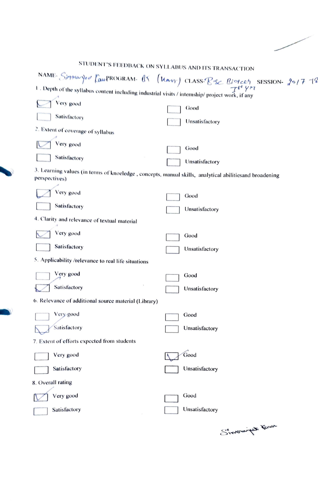|                                                                                                                                                                             | STUDENT'S FEEDBACK ON SYLLABUS AND ITS TRANSACTION |
|-----------------------------------------------------------------------------------------------------------------------------------------------------------------------------|----------------------------------------------------|
|                                                                                                                                                                             |                                                    |
| NAME Simproved CaupROGRAM. AT (Mary) CLASS-Bise Biotect SESSION. 2017 78<br>1. Depth of the syllabus content including industrial visits / internship/ project work, if any |                                                    |
| Very good                                                                                                                                                                   | Good                                               |
| Satisfactory                                                                                                                                                                | Unsatisfactory                                     |
| 2. Extent of coverage of syllabus                                                                                                                                           |                                                    |
| Very good                                                                                                                                                                   | Good                                               |
| Satisfactory                                                                                                                                                                | Unsatisfactory                                     |
| 3. Learning values (in terms of knoeledge, concepts, manual skills, analytical abilitiesand broadening<br>perspectives)                                                     |                                                    |
| Very good                                                                                                                                                                   | Good                                               |
| Satisfactory                                                                                                                                                                | Unsatisfactory                                     |
| 4. Clarity and relevance of textual material                                                                                                                                |                                                    |
| Very good                                                                                                                                                                   | Good                                               |
| Satisfactory                                                                                                                                                                | Unsatisfactory                                     |
| 5. Applicability /relevance to real life situations                                                                                                                         |                                                    |
| Very good                                                                                                                                                                   | Good                                               |
| Satisfactory                                                                                                                                                                | Unsatisfactory                                     |
| 6. Relevance of additional source material (Library)                                                                                                                        |                                                    |
| Very good                                                                                                                                                                   | Good                                               |
| Satisfactory                                                                                                                                                                | Unsatisfactory                                     |
| 7. Extent of efforts expected from students                                                                                                                                 |                                                    |
| Very good                                                                                                                                                                   | Good                                               |
| Satisfactory                                                                                                                                                                | Unsatisfactory                                     |
| 8. Overall rating                                                                                                                                                           |                                                    |
| Very good                                                                                                                                                                   | Good                                               |
| Satisfactory                                                                                                                                                                | Unsatisfactory                                     |
|                                                                                                                                                                             |                                                    |

T.

S'invocaring town